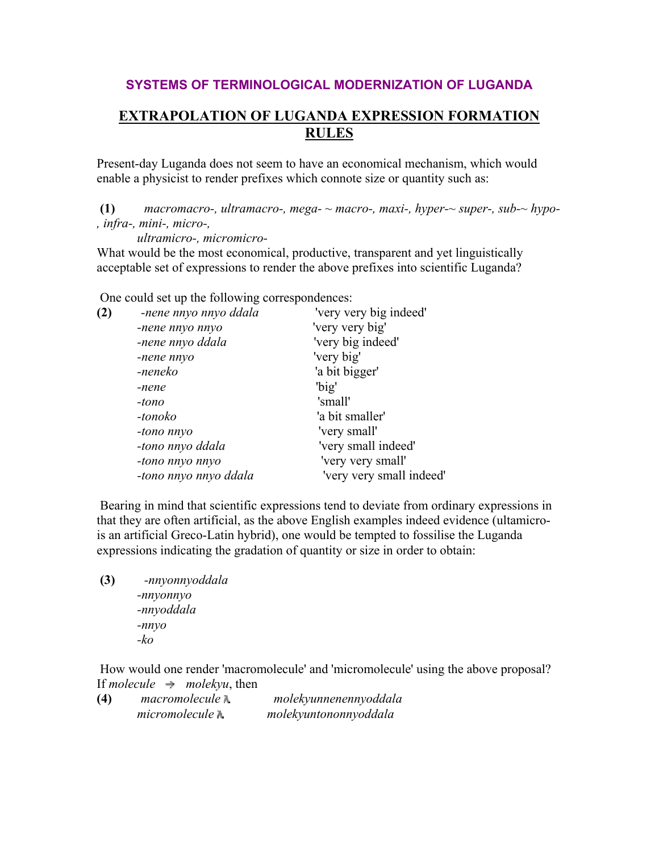## **SYSTEMS OF TERMINOLOGICAL MODERNIZATION OF LUGANDA**

## **EXTRAPOLATION OF LUGANDA EXPRESSION FORMATION RULES**

Present-day Luganda does not seem to have an economical mechanism, which would enable a physicist to render prefixes which connote size or quantity such as:

**(1)** *macromacro-, ultramacro-, mega- ~ macro-, maxi-, hyper-~ super-, sub-~ hypo- , infra-, mini-, micro-,*

*ultramicro-, micromicro-*

What would be the most economical, productive, transparent and yet linguistically acceptable set of expressions to render the above prefixes into scientific Luganda?

One could set up the following correspondences:

| -nene nnyo nnyo ddala | 'very very big indeed'   |
|-----------------------|--------------------------|
| -nene nnyo nnyo       | 'very very big'          |
| -nene nnyo ddala      | 'very big indeed'        |
| -nene nnyo            | 'very big'               |
| -neneko               | 'a bit bigger'           |
| -nene                 | 'big'                    |
| -tono                 | 'small'                  |
| -tonoko               | 'a bit smaller'          |
| -tono nnyo            | 'very small'             |
| -tono nnyo ddala      | 'very small indeed'      |
| -tono nnyo nnyo       | 'very very small'        |
| -tono nnyo nnyo ddala | 'very very small indeed' |
|                       |                          |

 Bearing in mind that scientific expressions tend to deviate from ordinary expressions in that they are often artificial, as the above English examples indeed evidence (ultamicrois an artificial Greco-Latin hybrid), one would be tempted to fossilise the Luganda expressions indicating the gradation of quantity or size in order to obtain:

**(3)** *-nnyonnyoddala -nnyonnyo -nnyoddala -nnyo -ko*

 How would one render 'macromolecule' and 'micromolecule' using the above proposal? If *molecule*  $\rightarrow$  *molekyu*, then

| (4) | macromolecule N | molekyunnenennyoddala |
|-----|-----------------|-----------------------|
|     | micromolecule N | molekyuntononnyoddala |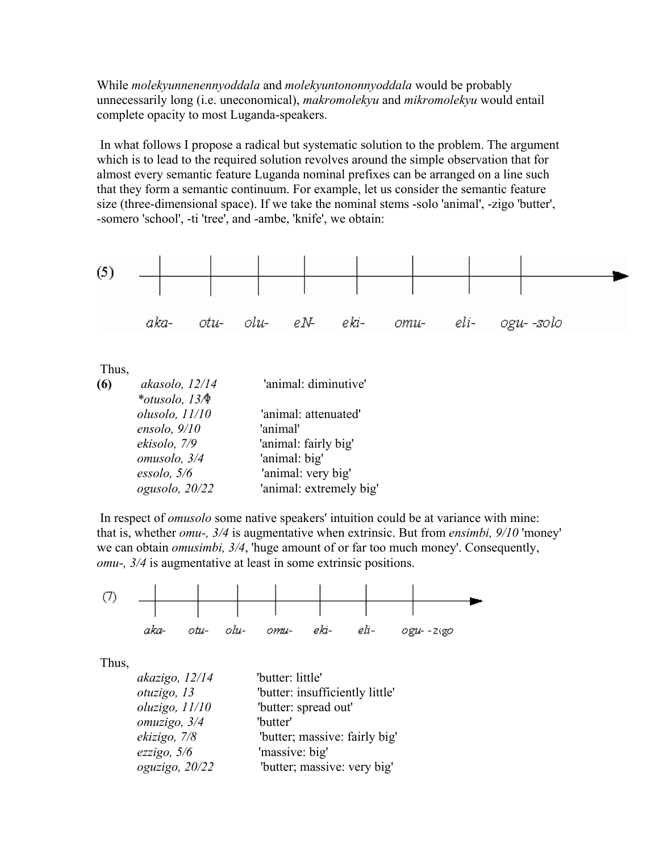While *molekyunnenennyoddala* and *molekyuntononnyoddala* would be probably unnecessarily long (i.e. uneconomical), *makromolekyu* and *mikromolekyu* would entail complete opacity to most Luganda-speakers.

 In what follows I propose a radical but systematic solution to the problem. The argument which is to lead to the required solution revolves around the simple observation that for almost every semantic feature Luganda nominal prefixes can be arranged on a line such that they form a semantic continuum. For example, let us consider the semantic feature size (three-dimensional space). If we take the nominal stems -solo 'animal', -zigo 'butter', -somero 'school', -ti 'tree', and -ambe, 'knife', we obtain:



Thus,

| (6) | akasolo, 12/14                                    | 'animal: diminutive'    |
|-----|---------------------------------------------------|-------------------------|
|     | *otusolo, $13$ <sup><math>\spadesuit</math></sup> |                         |
|     | olusolo, 11/10                                    | 'animal: attenuated'    |
|     | ensolo, $9/10$                                    | 'animal'                |
|     | ekisolo, 7/9                                      | 'animal: fairly big'    |
|     | omusolo, 3/4                                      | 'animal: big'           |
|     | $\epsilon$ ssolo, 5/6                             | 'animal: very big'      |
|     | ogusolo, 20/22                                    | 'animal: extremely big' |

 In respect of *omusolo* some native speakers' intuition could be at variance with mine: that is, whether *omu-, 3/4* is augmentative when extrinsic. But from *ensimbi, 9/10* 'money' we can obtain *omusimbi, 3/4*, 'huge amount of or far too much money'. Consequently, *omu-, 3/4* is augmentative at least in some extrinsic positions.

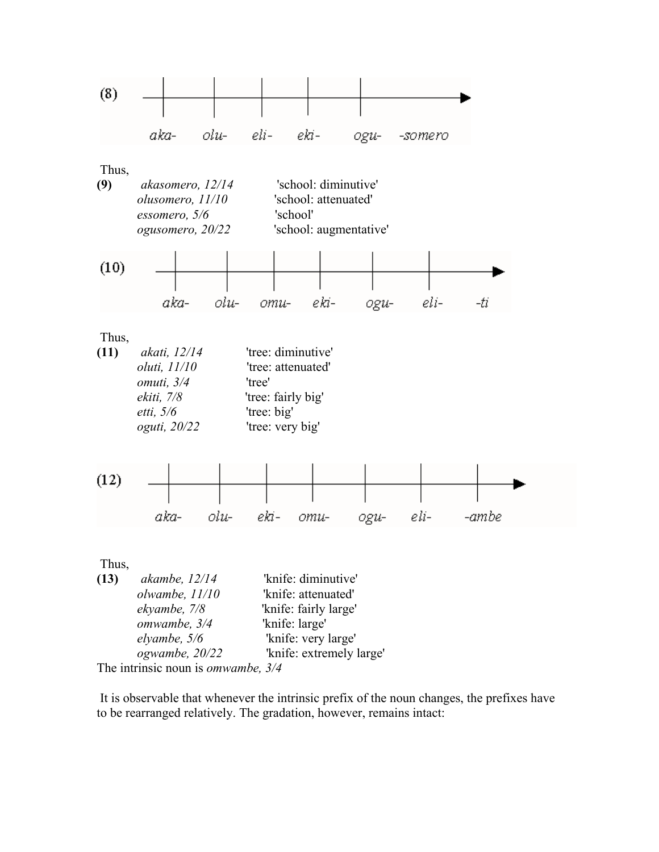

The intrinsic noun is *omwambe, 3/4*

 It is observable that whenever the intrinsic prefix of the noun changes, the prefixes have to be rearranged relatively. The gradation, however, remains intact: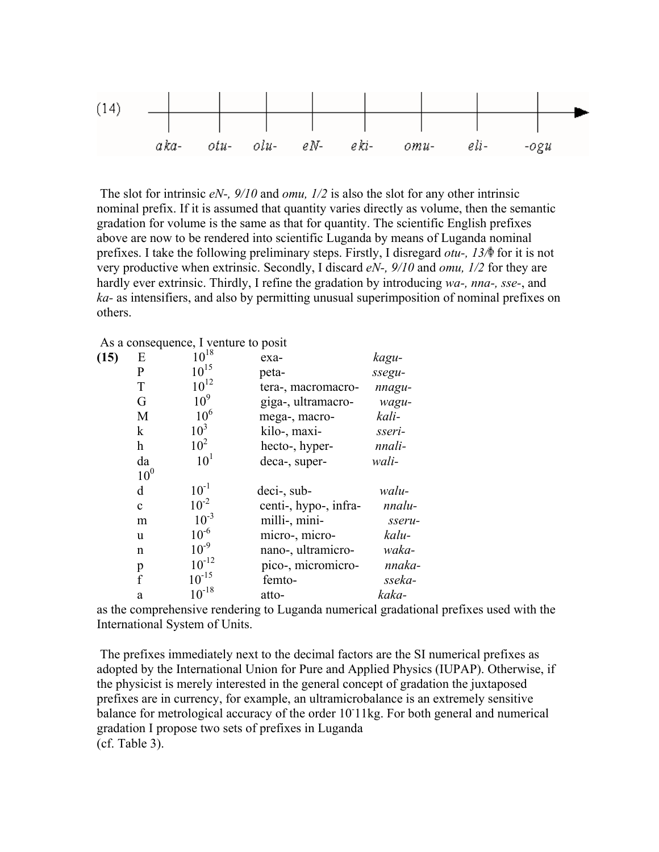

 The slot for intrinsic *eN-, 9/10* and *omu, 1/2* is also the slot for any other intrinsic nominal prefix. If it is assumed that quantity varies directly as volume, then the semantic gradation for volume is the same as that for quantity. The scientific English prefixes above are now to be rendered into scientific Luganda by means of Luganda nominal prefixes. I take the following preliminary steps. Firstly, I disregard *otu-, 13*/ $\phi$  for it is not very productive when extrinsic. Secondly, I discard *eN-, 9/10* and *omu, 1/2* for they are hardly ever extrinsic. Thirdly, I refine the gradation by introducing *wa-, nna-, sse-*, and *ka-* as intensifiers, and also by permitting unusual superimposition of nominal prefixes on others.

## As a consequence, I venture to posit

| (15) | Ε               | $10^{18}$       | exa-                  | kagu-  |
|------|-----------------|-----------------|-----------------------|--------|
|      | P               | $10^{15}$       | peta-                 | ssegu- |
|      | T               | $10^{12}$       | tera-, macromacro-    | nnagu- |
|      | G               | 10 <sup>9</sup> | giga-, ultramacro-    | wagu-  |
|      | M               | 10 <sup>6</sup> | mega-, macro-         | kali-  |
|      | $\mathbf{k}$    | 10 <sup>3</sup> | kilo-, maxi-          | sseri- |
|      | h               | 10 <sup>2</sup> | hecto-, hyper-        | nnali- |
|      | da              | 10 <sup>1</sup> | deca-, super-         | wali-  |
|      | 10 <sup>0</sup> |                 |                       |        |
|      | d               | $10^{-1}$       | deci-, sub-           | walu-  |
|      | $\mathbf{c}$    | $10^{-2}$       | centi-, hypo-, infra- | nnalu- |
|      | m               | $10^{-3}$       | milli-, mini-         | sseru- |
|      | u               | $10^{-6}$       | micro-, micro-        | kalu-  |
|      | n               | $10^{-9}$       | nano-, ultramicro-    | waka-  |
|      | p               | $10^{-12}$      | pico-, micromicro-    | nnaka- |
|      | f               | $10^{-15}$      | femto-                | sseka- |
|      | a               | $10^{-18}$      | atto-                 | kaka-  |
|      |                 |                 |                       |        |

as the comprehensive rendering to Luganda numerical gradational prefixes used with the International System of Units.

 The prefixes immediately next to the decimal factors are the SI numerical prefixes as adopted by the International Union for Pure and Applied Physics (IUPAP). Otherwise, if the physicist is merely interested in the general concept of gradation the juxtaposed prefixes are in currency, for example, an ultramicrobalance is an extremely sensitive balance for metrological accuracy of the order 10 11kg. For both general and numerical gradation I propose two sets of prefixes in Luganda (cf. Table 3).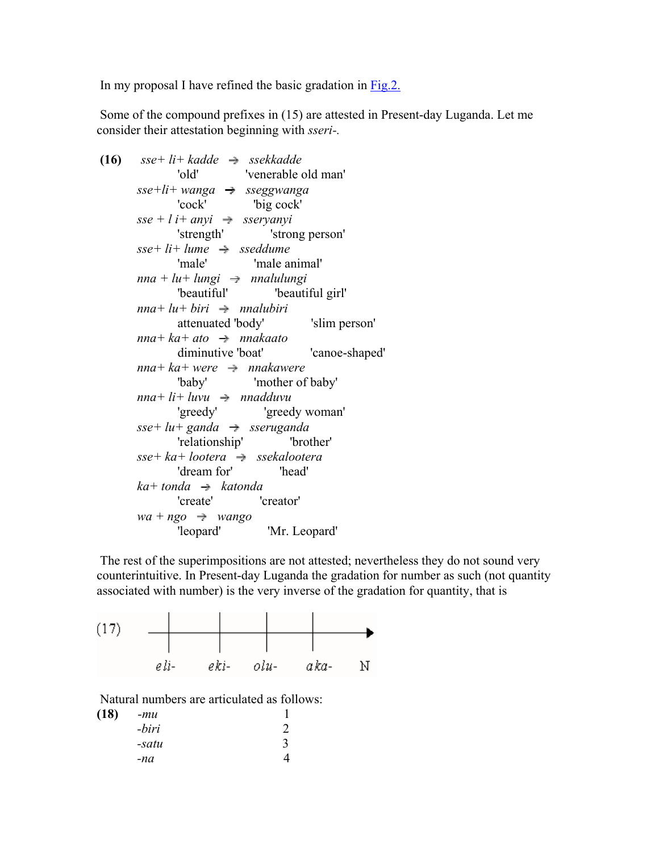In my proposal I have refined the basic gradation in Fig.2.

 Some of the compound prefixes in (15) are attested in Present-day Luganda. Let me consider their attestation beginning with *sseri-.*

```
(16) sse+li+kadde \rightarrow ssekkadde'old' 'venerable old man' 
sse+li+ wanga sseggwanga 
       'cock' 'big cock' 
sse + l i+ anyi \Rightarrow sservanyi'strength' 'strong person' 
sse+li+lume \rightarrow sseddume'male' 'male animal' 
nna + lu + lungi \rightarrow nnalulungi
        'beautiful' 'beautiful girl' 
nna+lu+biri \rightarrow \text{malabiri}attenuated 'body' 'slim person' 
nna+ka+ato \rightarrow nnakaatodiminutive 'boat' 'canoe-shaped' 
nna+ka+were \rightarrow nnakawere'baby' 'mother of baby' 
nna+li+luvu \rightarrow madduvu'greedy' 'greedy woman' 
sse+lu+ganda \rightarrow sseruganda'relationship' 'brother' 
sse+ka+lootera \rightarrow ssekalootera'dream for' 'head' 
ka+ tonda \rightarrow katonda
        'create' 'creator' 
wa + ngo \rightarrow wango'leopard' 'Mr. Leopard'
```
 The rest of the superimpositions are not attested; nevertheless they do not sound very counterintuitive. In Present-day Luganda the gradation for number as such (not quantity associated with number) is the very inverse of the gradation for quantity, that is



Natural numbers are articulated as follows:

| (18) | $-mu$ |   |
|------|-------|---|
|      | -biri | 2 |
|      | -satu | 3 |
|      | -na   |   |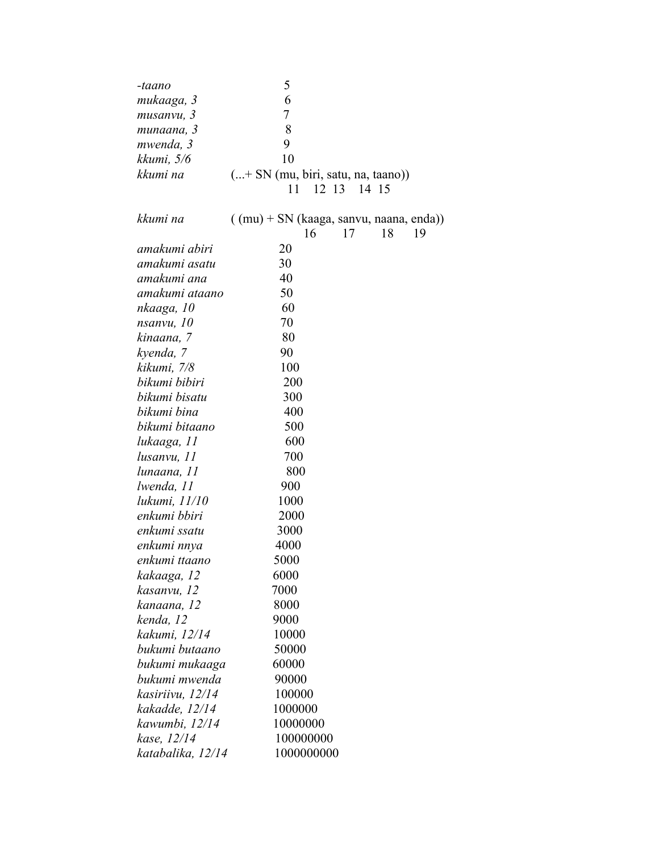| -taano            | 5                                                                 |
|-------------------|-------------------------------------------------------------------|
| mukaaga, 3        | 6                                                                 |
| musanvu, 3        | 7                                                                 |
| munaana, 3        | 8                                                                 |
| mwenda, 3         | 9                                                                 |
| kkumi, 5/6        | 10                                                                |
| kkumi na          | (+ SN (mu, biri, satu, na, taano))<br>12 13 14 15<br>11           |
|                   |                                                                   |
| kkumi na          | $((mu) + SN$ (kaaga, sanvu, naana, enda))<br>17<br>18<br>16<br>19 |
| amakumi abiri     | 20                                                                |
| amakumi asatu     | 30                                                                |
| amakumi ana       | 40                                                                |
| amakumi ataano    | 50                                                                |
| nkaaga, 10        | 60                                                                |
| nsanvu, 10        | 70                                                                |
| kinaana, 7        | 80                                                                |
| kyenda, 7         | 90                                                                |
| kikumi, 7/8       | 100                                                               |
| bikumi bibiri     | 200                                                               |
| bikumi bisatu     | 300                                                               |
| bikumi bina       | 400                                                               |
| bikumi bitaano    | 500                                                               |
| lukaaga, 11       | 600                                                               |
| lusanvu, 11       | 700                                                               |
| lunaana, 11       | 800                                                               |
| lwenda, 11        | 900                                                               |
| lukumi, 11/10     | 1000                                                              |
| enkumi bbiri      | 2000                                                              |
| enkumi ssatu      | 3000                                                              |
| enkumi nnya       | 4000                                                              |
| enkumi ttaano     | 5000                                                              |
| kakaaga, 12       | 6000                                                              |
| kasanvu, 12       | 7000                                                              |
| kanaana, 12       | 8000                                                              |
| kenda, 12         | 9000                                                              |
| kakumi, 12/14     | 10000                                                             |
| bukumi butaano    | 50000                                                             |
| bukumi mukaaga    | 60000                                                             |
| bukumi mwenda     | 90000                                                             |
| kasiriivu, 12/14  | 100000                                                            |
| kakadde, 12/14    | 1000000                                                           |
| kawumbi, 12/14    | 10000000                                                          |
| kase, 12/14       | 100000000                                                         |
| katabalika, 12/14 | 1000000000                                                        |
|                   |                                                                   |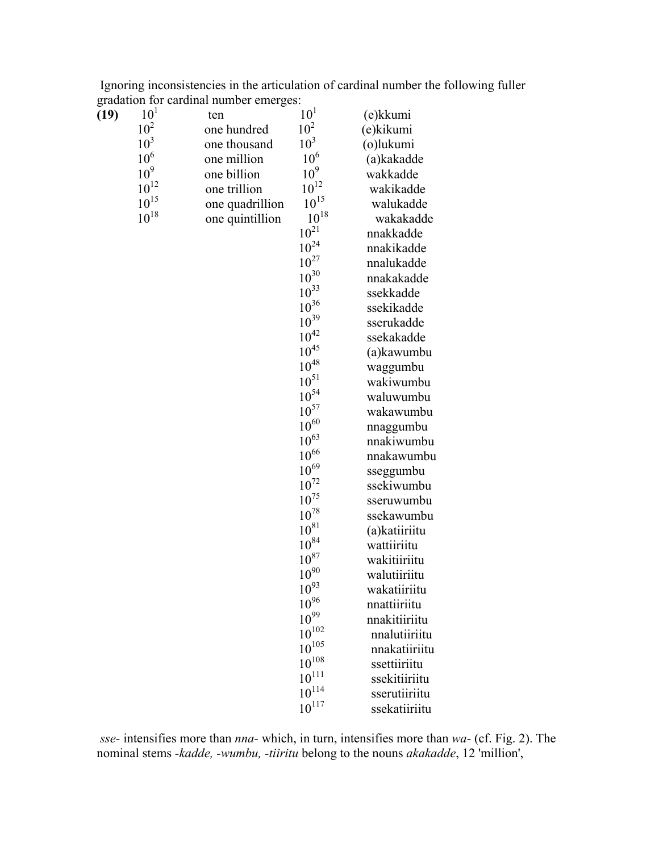|  |                                        |  |  |  | Ignoring inconsistencies in the articulation of cardinal number the following fuller |  |  |
|--|----------------------------------------|--|--|--|--------------------------------------------------------------------------------------|--|--|
|  | gradation for cardinal number emerges: |  |  |  |                                                                                      |  |  |

| (19) | 10 <sup>1</sup> | ten             | 10 <sup>1</sup> | (e)kkumi      |
|------|-----------------|-----------------|-----------------|---------------|
|      | 10 <sup>2</sup> | one hundred     | 10 <sup>2</sup> | (e)kikumi     |
|      | 10 <sup>3</sup> | one thousand    | 10 <sup>3</sup> | (o)lukumi     |
|      | $10^6\,$        | one million     | 10 <sup>6</sup> | (a)kakadde    |
|      | $10^9$          | one billion     | $10^9$          | wakkadde      |
|      | $10^{12}\,$     | one trillion    | $10^{12}\,$     | wakikadde     |
|      | $10^{15}\,$     | one quadrillion | $10^{15}\,$     | walukadde     |
|      | $10^{18}\,$     | one quintillion | $10^{18}\,$     | wakakadde     |
|      |                 |                 | $10^{21}\,$     | nnakkadde     |
|      |                 |                 | $10^{24}$       | nnakikadde    |
|      |                 |                 | $10^{27}\,$     | nnalukadde    |
|      |                 |                 | $10^{30}$       | nnakakadde    |
|      |                 |                 | $10^{33}$       | ssekkadde     |
|      |                 |                 | $10^{36}$       | ssekikadde    |
|      |                 |                 | $10^{39}$       | sserukadde    |
|      |                 |                 | $10^{42}\,$     | ssekakadde    |
|      |                 |                 | $10^{45}\,$     | (a)kawumbu    |
|      |                 |                 | $10^{48}$       | waggumbu      |
|      |                 |                 | $10^{51}\,$     | wakiwumbu     |
|      |                 |                 | $10^{54}$       | waluwumbu     |
|      |                 |                 | $10^{57}$       | wakawumbu     |
|      |                 |                 | $10^{60}$       | nnaggumbu     |
|      |                 |                 | $10^{63}$       | nnakiwumbu    |
|      |                 |                 | $10^{66}$       | nnakawumbu    |
|      |                 |                 | $10^{69}$       | sseggumbu     |
|      |                 |                 | $10^{72}$       | ssekiwumbu    |
|      |                 |                 | $10^{75}\,$     | sseruwumbu    |
|      |                 |                 | $10^{78}\,$     | ssekawumbu    |
|      |                 |                 | $10^{81}$       | (a)katiiriitu |
|      |                 |                 | $10^{84}\,$     | wattiiriitu   |
|      |                 |                 | $10^{87}$       | wakitiiriitu  |
|      |                 |                 | $10^{90}$       | walutiiriitu  |
|      |                 |                 | $10^{93}$       | wakatiiriitu  |
|      |                 |                 | $10^{96}$       | nnattiiriitu  |
|      |                 |                 | $10^{99}$       | nnakitiiriitu |
|      |                 |                 | $10^{102}$      | nnalutiiriitu |
|      |                 |                 | $10^{105}$      | nnakatiiriitu |
|      |                 |                 | $10^{108}\,$    | ssettiiriitu  |
|      |                 |                 | $10^{111}$      | ssekitiiriitu |
|      |                 |                 | $10^{114}$      | sserutiiriitu |
|      |                 |                 | $10^{117}$      | ssekatiiriitu |

*sse-* intensifies more than *nna-* which, in turn, intensifies more than *wa-* (cf. Fig. 2). The nominal stems *-kadde, -wumbu, -tiiritu* belong to the nouns *akakadde*, 12 'million',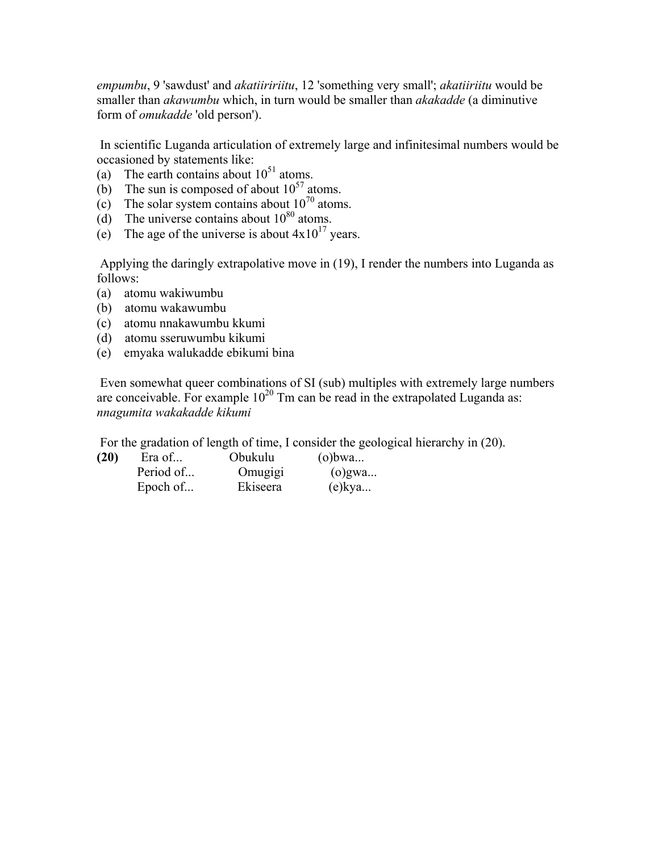*empumbu*, 9 'sawdust' and *akatiiririitu*, 12 'something very small'; *akatiiriitu* would be smaller than *akawumbu* which, in turn would be smaller than *akakadde* (a diminutive form of *omukadde* 'old person').

 In scientific Luganda articulation of extremely large and infinitesimal numbers would be occasioned by statements like:

- (a) The earth contains about  $10^{51}$  atoms.
- (b) The sun is composed of about  $10^{57}$  atoms.
- (c) The solar system contains about  $10^{70}$  atoms.
- (d) The universe contains about  $10^{80}$  atoms.
- (e) The age of the universe is about  $4x10^{17}$  years.

 Applying the daringly extrapolative move in (19), I render the numbers into Luganda as follows:

- (a) atomu wakiwumbu
- (b) atomu wakawumbu
- (c) atomu nnakawumbu kkumi
- (d) atomu sseruwumbu kikumi
- (e) emyaka walukadde ebikumi bina

 Even somewhat queer combinations of SI (sub) multiples with extremely large numbers are conceivable. For example  $10^{20}$  Tm can be read in the extrapolated Luganda as: *nnagumita wakakadde kikumi*

For the gradation of length of time, I consider the geological hierarchy in (20).

| (20) | Era of    | Obukulu  | $(o)$ bwa |  |
|------|-----------|----------|-----------|--|
|      | Period of | Omugigi  | $(o)$ gwa |  |
|      | Epoch of  | Ekiseera | $(e)$ kya |  |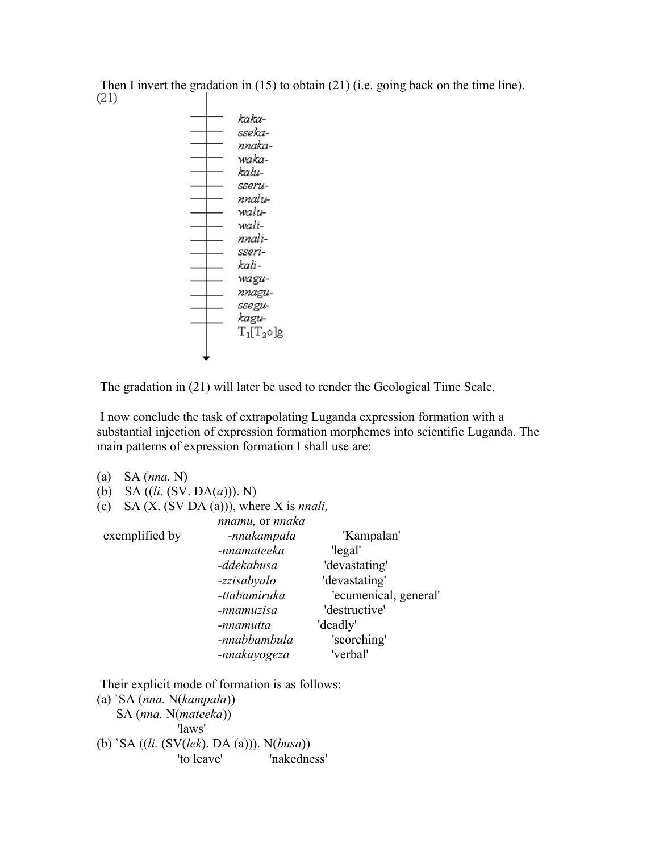Then I invert the gradation in (15) to obtain (21) (i.e. going back on the time line).<br>(21)



The gradation in (21) will later be used to render the Geological Time Scale.

 I now conclude the task of extrapolating Luganda expression formation with a substantial injection of expression formation morphemes into scientific Luganda. The main patterns of expression formation I shall use are:

| (a) | $SA$ (nna. N)                |                                                  |                       |
|-----|------------------------------|--------------------------------------------------|-----------------------|
| (b) | SA $((li. (SV. DA(a)))$ . N) |                                                  |                       |
| (c) |                              | SA $(X. (SV DA(a)))$ , where X is <i>nnali</i> , |                       |
|     |                              | nnamu, or nnaka                                  |                       |
|     | exemplified by               | -nnakampala                                      | 'Kampalan'            |
|     |                              | -nnamateeka                                      | 'legal'               |
|     |                              | -ddekabusa                                       | 'devastating'         |
|     |                              | -zzisabyalo                                      | 'devastating'         |
|     |                              | -ttabamiruka                                     | 'ecumenical, general' |
|     |                              | -nnamuzisa                                       | 'destructive'         |
|     |                              | -nnamutta                                        | 'deadly'              |
|     |                              | -nnabbambula                                     | 'scorching'           |
|     |                              | -nnakayogeza                                     | 'verbal'              |
|     |                              |                                                  |                       |

Their explicit mode of formation is as follows:

(a) `SA (*nna.* N(*kampala*)) SA (*nna.* N(*mateeka*)) 'laws' (b) `SA ((*li.* (SV(*lek*). DA (a))). N(*busa*)) 'to leave' 'nakedness'